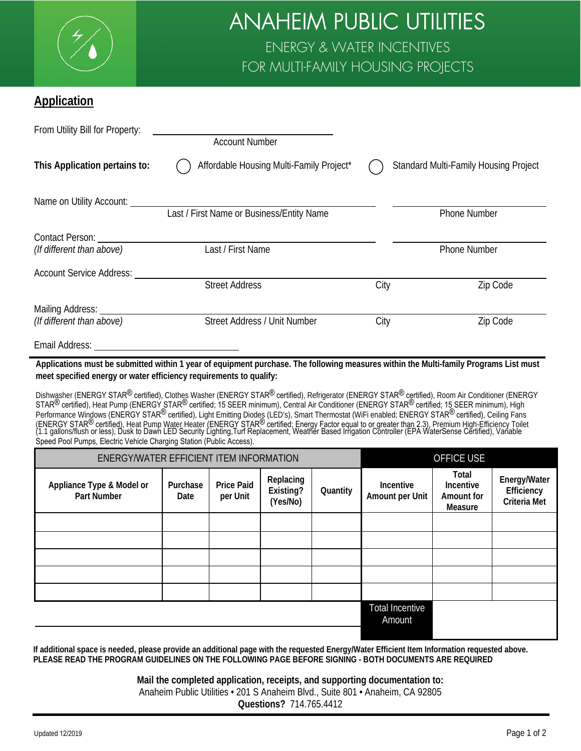

## ANAHEIM PUBLIC UTILITIES ENERGY & WATER INCENTIVES FOR MULTI-FAMILY HOUSING PROJECTS

## **Application**

| From Utility Bill for Property:      | <b>Account Number</b>                     |      |                                              |
|--------------------------------------|-------------------------------------------|------|----------------------------------------------|
| This Application pertains to:        | Affordable Housing Multi-Family Project*  |      | <b>Standard Multi-Family Housing Project</b> |
| Name on Utility Account: ___________ |                                           |      |                                              |
|                                      | Last / First Name or Business/Entity Name |      | <b>Phone Number</b>                          |
| Contact Person:                      |                                           |      |                                              |
| (If different than above)            | Last / First Name                         |      | <b>Phone Number</b>                          |
| <b>Account Service Address:</b>      |                                           |      |                                              |
|                                      | <b>Street Address</b>                     | City | Zip Code                                     |
| Mailing Address:                     |                                           |      |                                              |
| (If different than above)            | Street Address / Unit Number              | City | Zip Code                                     |
| Email Address:                       |                                           |      |                                              |

**Applications must be submitted within 1 year of equipment purchase. The following measures within the Multi-family Programs List must meet specified energy or water efficiency requirements to qualify:**

Dishwasher (ENERGY STAR<sup>®</sup> certified), Clothes Washer (ENERGY STAR<sup>®</sup> certified), Refrigerator (ENERGY STAR<sup>®</sup> certified), Room Air Conditioner (ENERGY STAR<sup>®</sup> certified), Heat Pump (ENERGY STAR<sup>®</sup> certified; 15 SEER minimum), Central Air Conditioner (ENERGY STAR<sup>®</sup> certified; 15 SEER minimum), High Performance Windows (ENERGY STAR<sup>®</sup> certified), Light Emitting Diodes (LED's), Smart Thermostat (WiFi enabled; ENERGY STAR<sup>®</sup> certified), Ceiling Fans (ENERGY STAR<sup>®</sup> certified), Heat Pump Water Heater (ENERGY STAR<sup>®</sup> certified; Energy Factor equal to or greater than 2.3), Premium High-Efficiency Toilet<br>(1.1 gallons/flush or less), Dusk to Dawn LED Security Lighting,Turf Speed Pool Pumps, Electric Vehicle Charging Station (Public Access).

| ENERGY/WATER EFFICIENT ITEM INFORMATION         |                  |                               |                                    | <b>OFFICE USE</b>                |                              |                                             |                                            |
|-------------------------------------------------|------------------|-------------------------------|------------------------------------|----------------------------------|------------------------------|---------------------------------------------|--------------------------------------------|
| Appliance Type & Model or<br><b>Part Number</b> | Purchase<br>Date | <b>Price Paid</b><br>per Unit | Replacing<br>Existing?<br>(Yes/No) | Quantity                         | Incentive<br>Amount per Unit | Total<br>Incentive<br>Amount for<br>Measure | Energy/Water<br>Efficiency<br>Criteria Met |
|                                                 |                  |                               |                                    |                                  |                              |                                             |                                            |
|                                                 |                  |                               |                                    |                                  |                              |                                             |                                            |
|                                                 |                  |                               |                                    |                                  |                              |                                             |                                            |
|                                                 |                  |                               |                                    |                                  |                              |                                             |                                            |
|                                                 |                  |                               |                                    |                                  |                              |                                             |                                            |
|                                                 |                  |                               |                                    | <b>Total Incentive</b><br>Amount |                              |                                             |                                            |

**If additional space is needed, please provide an additional page with the requested Energy/Water Efficient Item Information requested above. PLEASE READ THE PROGRAM GUIDELINES ON THE FOLLOWING PAGE BEFORE SIGNING - BOTH DOCUMENTS ARE REQUIRED**

## **Mail the completed application, receipts, and supporting documentation to:** Anaheim Public Utilities • 201 S Anaheim Blvd., Suite 801 • Anaheim, CA 92805 **Questions?** 714.765.4412